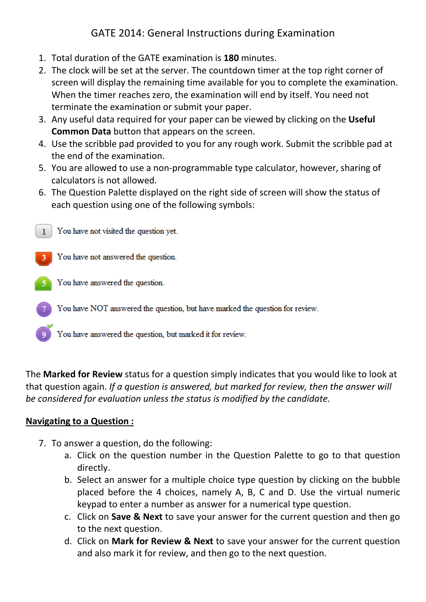# GATE 2014: General Instructions during Examination

- 1. Total duration of the GATE examination is **180** minutes.
- 2. The clock will be set at the server. The countdown timer at the top right corner of screen will display the remaining time available for you to complete the examination. When the timer reaches zero, the examination will end by itself. You need not terminate the examination or submit your paper.
- 3. Any useful data required for your paper can be viewed by clicking on the **Useful Common Data** button that appears on the screen.
- 4. Use the scribble pad provided to you for any rough work. Submit the scribble pad at the end of the examination.
- 5. You are allowed to use a non-programmable type calculator, however, sharing of calculators is not allowed.
- 6. The Question Palette displayed on the right side of screen will show the status of each question using one of the following symbols:



- You have NOT answered the question, but have marked the question for review.
	- You have answered the question, but marked it for review.

The **Marked for Review** status for a question simply indicates that you would like to look at that question again. *If a question is answered, but marked for review, then the answer will be considered for evaluation unless the status is modified by the candidate.*

## **Navigating to a Question :**

- 7. To answer a question, do the following:
	- a. Click on the question number in the Question Palette to go to that question directly.
	- b. Select an answer for a multiple choice type question by clicking on the bubble placed before the 4 choices, namely A, B, C and D. Use the virtual numeric keypad to enter a number as answer for a numerical type question.
	- c. Click on **Save & Next** to save your answer for the current question and then go to the next question.
	- d. Click on **Mark for Review & Next** to save your answer for the current question and also mark it for review, and then go to the next question.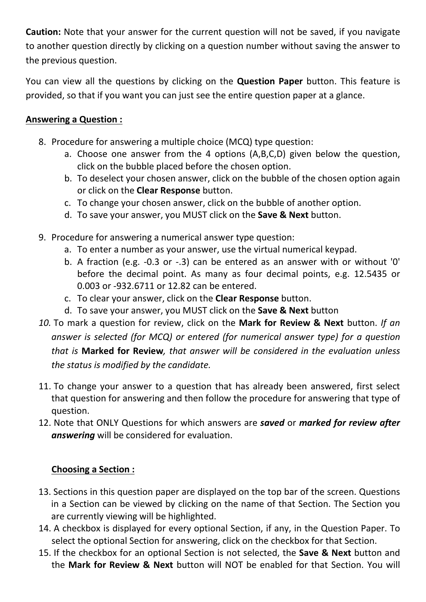**Caution:** Note that your answer for the current question will not be saved, if you navigate to another question directly by clicking on a question number without saving the answer to the previous question.

You can view all the questions by clicking on the **Question Paper** button. This feature is provided, so that if you want you can just see the entire question paper at a glance.

## **Answering a Question :**

- 8. Procedure for answering a multiple choice (MCQ) type question:
	- a. Choose one answer from the 4 options (A,B,C,D) given below the question, click on the bubble placed before the chosen option.
	- b. To deselect your chosen answer, click on the bubble of the chosen option again or click on the **Clear Response** button.
	- c. To change your chosen answer, click on the bubble of another option.
	- d. To save your answer, you MUST click on the **Save & Next** button.
- 9. Procedure for answering a numerical answer type question:
	- a. To enter a number as your answer, use the virtual numerical keypad.
	- b. A fraction (e.g. -0.3 or -.3) can be entered as an answer with or without '0' before the decimal point. As many as four decimal points, e.g. 12.5435 or 0.003 or -932.6711 or 12.82 can be entered.
	- c. To clear your answer, click on the **Clear Response** button.
	- d. To save your answer, you MUST click on the **Save & Next** button
- *10.* To mark a question for review, click on the **Mark for Review & Next** button. *If an answer is selected (for MCQ) or entered (for numerical answer type) for a question that is* **Marked for Review***, that answer will be considered in the evaluation unless the status is modified by the candidate.*
- 11. To change your answer to a question that has already been answered, first select that question for answering and then follow the procedure for answering that type of question.
- 12. Note that ONLY Questions for which answers are *saved* or *marked for review after answering* will be considered for evaluation.

# **Choosing a Section :**

- 13. Sections in this question paper are displayed on the top bar of the screen. Questions in a Section can be viewed by clicking on the name of that Section. The Section you are currently viewing will be highlighted.
- 14. A checkbox is displayed for every optional Section, if any, in the Question Paper. To select the optional Section for answering, click on the checkbox for that Section.
- 15. If the checkbox for an optional Section is not selected, the **Save & Next** button and the **Mark for Review & Next** button will NOT be enabled for that Section. You will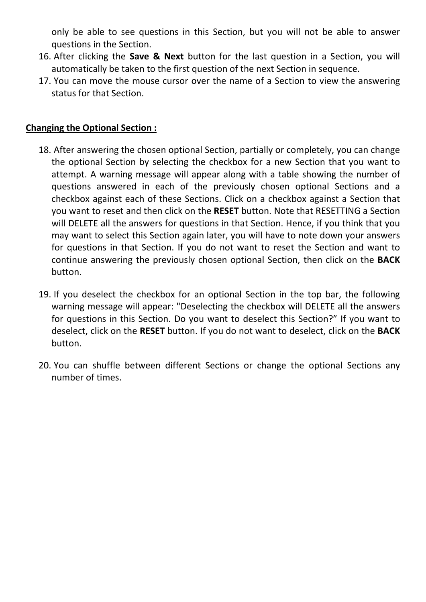only be able to see questions in this Section, but you will not be able to answer questions in the Section.

- 16. After clicking the **Save & Next** button for the last question in a Section, you will automatically be taken to the first question of the next Section in sequence.
- 17. You can move the mouse cursor over the name of a Section to view the answering status for that Section.

## **Changing the Optional Section :**

- 18. After answering the chosen optional Section, partially or completely, you can change the optional Section by selecting the checkbox for a new Section that you want to attempt. A warning message will appear along with a table showing the number of questions answered in each of the previously chosen optional Sections and a checkbox against each of these Sections. Click on a checkbox against a Section that you want to reset and then click on the **RESET** button. Note that RESETTING a Section will DELETE all the answers for questions in that Section. Hence, if you think that you may want to select this Section again later, you will have to note down your answers for questions in that Section. If you do not want to reset the Section and want to continue answering the previously chosen optional Section, then click on the **BACK** button.
- 19. If you deselect the checkbox for an optional Section in the top bar, the following warning message will appear: "Deselecting the checkbox will DELETE all the answers for questions in this Section. Do you want to deselect this Section?" If you want to deselect, click on the **RESET** button. If you do not want to deselect, click on the **BACK** button.
- 20. You can shuffle between different Sections or change the optional Sections any number of times.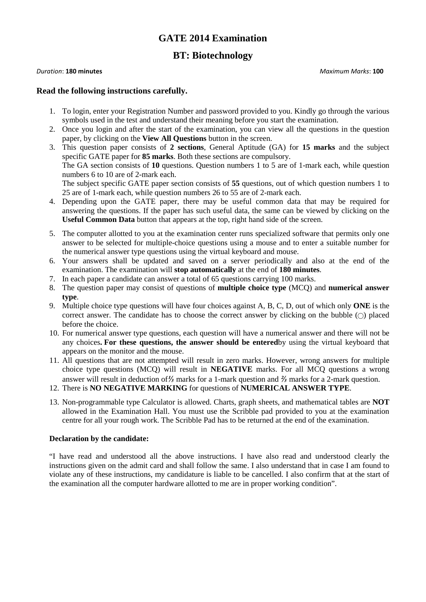## **GATE 2014 Examination**

### **BT: Biotechnology**

#### *Duration*: **180 minutes** *Maximum Marks*: **100**

#### **Read the following instructions carefully.**

- 1. To login, enter your Registration Number and password provided to you. Kindly go through the various symbols used in the test and understand their meaning before you start the examination.
- 2. Once you login and after the start of the examination, you can view all the questions in the question paper, by clicking on the **View All Questions** button in the screen.
- 3. This question paper consists of **2 sections**, General Aptitude (GA) for **15 marks** and the subject specific GATE paper for **85 marks**. Both these sections are compulsory. The GA section consists of **10** questions. Question numbers 1 to 5 are of 1-mark each, while question numbers 6 to 10 are of 2-mark each. The subject specific GATE paper section consists of **55** questions, out of which question numbers 1 to 25 are of 1-mark each, while question numbers 26 to 55 are of 2-mark each.
- 4. Depending upon the GATE paper, there may be useful common data that may be required for answering the questions. If the paper has such useful data, the same can be viewed by clicking on the **Useful Common Data** button that appears at the top, right hand side of the screen.
- 5. The computer allotted to you at the examination center runs specialized software that permits only one answer to be selected for multiple-choice questions using a mouse and to enter a suitable number for the numerical answer type questions using the virtual keyboard and mouse.
- 6. Your answers shall be updated and saved on a server periodically and also at the end of the examination. The examination will **stop automatically** at the end of **180 minutes**.
- 7. In each paper a candidate can answer a total of 65 questions carrying 100 marks.
- 8. The question paper may consist of questions of **multiple choice type** (MCQ) and **numerical answer type**.
- 9. Multiple choice type questions will have four choices against A, B, C, D, out of which only **ONE** is the correct answer. The candidate has to choose the correct answer by clicking on the bubble  $($ ) placed before the choice.
- 10. For numerical answer type questions, each question will have a numerical answer and there will not be any choices**. For these questions, the answer should be entered**by using the virtual keyboard that appears on the monitor and the mouse.
- 11. All questions that are not attempted will result in zero marks. However, wrong answers for multiple choice type questions (MCQ) will result in **NEGATIVE** marks. For all MCQ questions a wrong answer will result in deduction of*⅓* marks for a 1-mark question and *⅔* marks for a 2-mark question.
- 12. There is **NO NEGATIVE MARKING** for questions of **NUMERICAL ANSWER TYPE**.
- 13. Non-programmable type Calculator is allowed. Charts, graph sheets, and mathematical tables are **NOT** allowed in the Examination Hall. You must use the Scribble pad provided to you at the examination centre for all your rough work. The Scribble Pad has to be returned at the end of the examination.

#### **Declaration by the candidate:**

"I have read and understood all the above instructions. I have also read and understood clearly the instructions given on the admit card and shall follow the same. I also understand that in case I am found to violate any of these instructions, my candidature is liable to be cancelled. I also confirm that at the start of the examination all the computer hardware allotted to me are in proper working condition".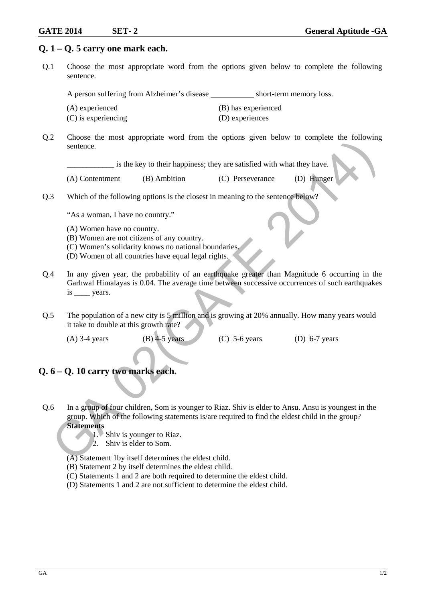$(D)$  Hunger

#### **Q. 1 – Q. 5 carry one mark each.**

Q.1 Choose the most appropriate word from the options given below to complete the following sentence.

A person suffering from Alzheimer's disease short-term memory loss.

- (A) experienced (B) has experienced
- (C) is experiencing (D) experiences
- Q.2 Choose the most appropriate word from the options given below to complete the following sentence.

\_\_\_\_\_\_\_\_\_\_\_\_ is the key to their happiness; they are satisfied with what they have.

| (A) Contentment | (B) Ambition | (C) Perseverance |
|-----------------|--------------|------------------|
|-----------------|--------------|------------------|

Q.3 Which of the following options is the closest in meaning to the sentence below?

"As a woman, I have no country."

- (A) Women have no country.
- (B) Women are not citizens of any country.
- (C) Women's solidarity knows no national boundaries.
- (D) Women of all countries have equal legal rights.
- Q.4 In any given year, the probability of an earthquake greater than Magnitude 6 occurring in the Garhwal Himalayas is 0.04. The average time between successive occurrences of such earthquakes is \_\_\_\_ years. Source.<br>
Source the host appropriate word norm the options given below to complete the bottoming<br>
(A) Contentment (B) Ambition (C) Perseverance (D) Hunger<br>
(A) Contentment (B) Ambition (C) Perseverance (D) Hunger<br>
(A) Wom
- Q.5 The population of a new city is 5 million and is growing at 20% annually. How many years would it take to double at this growth rate?
	- -

(A) 3-4 years (B) 4-5 years (C) 5-6 years (D) 6-7 years

#### **Q. 6 – Q. 10 carry two marks each.**

- Q.6 In a group of four children, Som is younger to Riaz. Shiv is elder to Ansu. Ansu is youngest in the group. Which of the following statements is/are required to find the eldest child in the group? **Statements**
	- 1. Shiv is younger to Riaz.
	- 2. Shiv is elder to Som.
	- (A) Statement 1by itself determines the eldest child.
	- (B) Statement 2 by itself determines the eldest child.
	- (C) Statements 1 and 2 are both required to determine the eldest child.
	- (D) Statements 1 and 2 are not sufficient to determine the eldest child.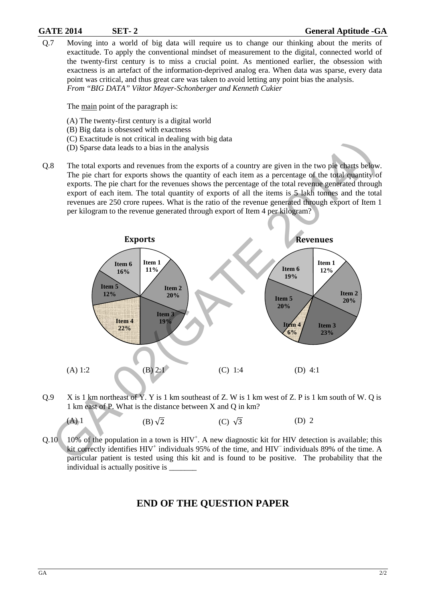#### **GATE 2014 SET- 2 General Aptitude -GA**

Q.7 Moving into a world of big data will require us to change our thinking about the merits of exactitude. To apply the conventional mindset of measurement to the digital, connected world of the twenty-first century is to miss a crucial point. As mentioned earlier, the obsession with exactness is an artefact of the information-deprived analog era. When data was sparse, every data point was critical, and thus great care was taken to avoid letting any point bias the analysis. *From "BIG DATA" Viktor Mayer-Schonberger and Kenneth Cukier* 

The main point of the paragraph is:

- (A) The twenty-first century is a digital world
- (B) Big data is obsessed with exactness
- (C) Exactitude is not critical in dealing with big data
- (D) Sparse data leads to a bias in the analysis
- Q.8 The total exports and revenues from the exports of a country are given in the two pie charts below. The pie chart for exports shows the quantity of each item as a percentage of the total quantity of exports. The pie chart for the revenues shows the percentage of the total revenue generated through export of each item. The total quantity of exports of all the items is 5 lakh tonnes and the total revenues are 250 crore rupees. What is the ratio of the revenue generated through export of Item 1 per kilogram to the revenue generated through export of Item 4 per kilogram?



Q.9 X is 1 km northeast of Y. Y is 1 km southeast of Z. W is 1 km west of Z. P is 1 km south of W. Q is 1 km east of P. What is the distance between X and Q in km?

(A) 1 (B) 
$$
\sqrt{2}
$$
 (C)  $\sqrt{3}$  (D) 2

 $Q.10$  10% of the population in a town is  $HIV^+$ . A new diagnostic kit for HIV detection is available; this kit correctly identifies HIV<sup>+</sup> individuals 95% of the time, and HIV<sup>−</sup> individuals 89% of the time. A particular patient is tested using this kit and is found to be positive. The probability that the individual is actually positive is

## **END OF THE QUESTION PAPER**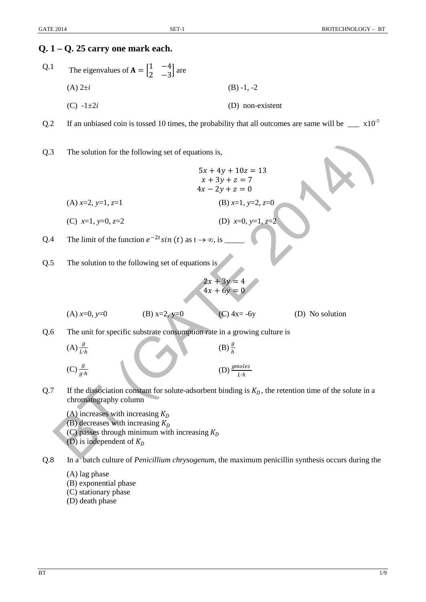# **Q. 1 – Q. 25 carry one mark each.**  Q.1 The eigenvalues of  $A = \begin{bmatrix} 1 & -4 \\ 2 & -3 \end{bmatrix}$  $\begin{bmatrix} 1 & -1 \\ 2 & -3 \end{bmatrix}$  are (A) 2±*i* (B) -1, -2  $(C)$  -1 $\pm 2i$  (D) non-existent Q.2 If an unbiased coin is tossed 10 times, the probability that all outcomes are same will be  $\times 10^{-5}$ Q.3 The solution for the following set of equations is,  $5x + 4y + 10z = 13$  $x + 3y + z = 7$  $4x - 2y + z = 0$ (A) *x*=2, *y*=1, *z*=1 (C) *x*=1, *y*=0, *z*=2 (B) *x*=1, *y*=2, *z*=0 (D) *x*=0, *y*=1, *z*=2 Q.4 The limit of the function  $e^{-2t} \sin(t)$  as  $t \to \infty$ , is Q.5 The solution to the following set of equations is  $2x + 3y$  $4x + 6y = 0$ (A)  $x=0$ ,  $y=0$  (B)  $x=2$ ,  $y=0$  (C)  $4x=-6y$  (D) No solution Q.6 The unit for specific substrate consumption rate in a growing culture is  $(A)$  $\frac{g}{I \cdot h}$  $\frac{g}{h}$  (B)  $\frac{g}{h}$  $(B)$  $\frac{g}{h}$  $(C)$  $\frac{g}{q \cdot h}$  $\frac{g}{g \cdot h}$  (D)  $\frac{gmol}{L \cdot h}$ Q.7 If the dissociation constant for solute-adsorbent binding is  $K_D$ , the retention time of the solute in a chromatography column (A) increases with increasing  $K_D$ (B) decreases with increasing  $K<sub>D</sub>$ (C) passes through minimum with increasing  $K<sub>D</sub>$ (D) is independent of  $K_D$ The solution for the following set of equations is,<br>  $5x + 4y + 10z = 13$ <br>  $x + 3y + z = 7$ <br>  $(4x - 2y + z = 0$ <br>  $(2x - 1, y = 0, z = 2)$ <br>  $(5x - 1, y = 0, z = 2)$ <br>
The limit of the function  $e^{-2z} \sin(t)$  as  $1 \rightarrow \infty$ , is<br>
The solution to the fo

Q.8 In a batch culture of *Penicillium chrysogenum*, the maximum penicillin synthesis occurs during the

- (A) lag phase
- (B) exponential phase
- (C) stationary phase
- (D) death phase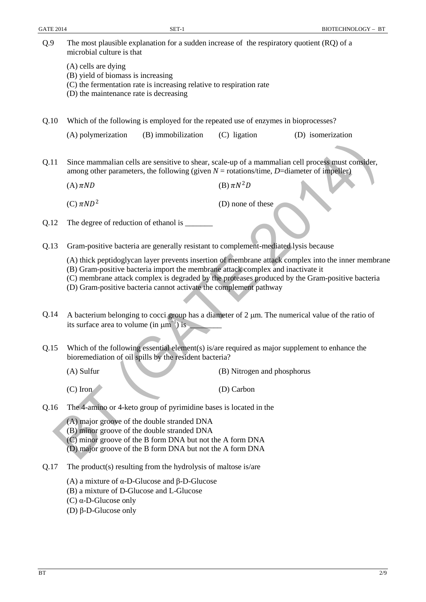| Q.9  | The most plausible explanation for a sudden increase of the respiratory quotient (RQ) of a<br>microbial culture is that                                                                                                                                                                                                                                        |                             |                   |  |  |
|------|----------------------------------------------------------------------------------------------------------------------------------------------------------------------------------------------------------------------------------------------------------------------------------------------------------------------------------------------------------------|-----------------------------|-------------------|--|--|
|      | (A) cells are dying<br>(B) yield of biomass is increasing<br>(C) the fermentation rate is increasing relative to respiration rate<br>(D) the maintenance rate is decreasing                                                                                                                                                                                    |                             |                   |  |  |
| Q.10 | Which of the following is employed for the repeated use of enzymes in bioprocesses?                                                                                                                                                                                                                                                                            |                             |                   |  |  |
|      | (A) polymerization<br>(B) immobilization                                                                                                                                                                                                                                                                                                                       | (C) ligation                | (D) isomerization |  |  |
| Q.11 | Since mammalian cells are sensitive to shear, scale-up of a mammalian cell process must consider,<br>among other parameters, the following (given $N =$ rotations/time, D=diameter of impeller)                                                                                                                                                                |                             |                   |  |  |
|      | $(A)$ $\pi ND$                                                                                                                                                                                                                                                                                                                                                 | (B) $\pi N^2D$              |                   |  |  |
|      | (C) $\pi ND^2$                                                                                                                                                                                                                                                                                                                                                 | (D) none of these           |                   |  |  |
| Q.12 | The degree of reduction of ethanol is ______                                                                                                                                                                                                                                                                                                                   |                             |                   |  |  |
| Q.13 | Gram-positive bacteria are generally resistant to complement-mediated lysis because                                                                                                                                                                                                                                                                            |                             |                   |  |  |
|      | (A) thick peptidoglycan layer prevents insertion of membrane attack complex into the inner membrane<br>(B) Gram-positive bacteria import the membrane attack complex and inactivate it<br>(C) membrane attack complex is degraded by the proteases produced by the Gram-positive bacteria<br>(D) Gram-positive bacteria cannot activate the complement pathway |                             |                   |  |  |
| Q.14 | A bacterium belonging to cocci group has a diameter of $2 \mu m$ . The numerical value of the ratio of<br>its surface area to volume (in $\mu$ m <sup>-1</sup> ) is                                                                                                                                                                                            |                             |                   |  |  |
| Q.15 | Which of the following essential element(s) is/are required as major supplement to enhance the<br>bioremediation of oil spills by the resident bacteria?                                                                                                                                                                                                       |                             |                   |  |  |
|      | $(A)$ Sulfur                                                                                                                                                                                                                                                                                                                                                   | (B) Nitrogen and phosphorus |                   |  |  |
|      | $(C)$ Iron                                                                                                                                                                                                                                                                                                                                                     | (D) Carbon                  |                   |  |  |
| Q.16 | The 4-amino or 4-keto group of pyrimidine bases is located in the                                                                                                                                                                                                                                                                                              |                             |                   |  |  |
|      | (A) major groove of the double stranded DNA<br>(B) minor groove of the double stranded DNA<br>(C) minor groove of the B form DNA but not the A form DNA<br>(D) major groove of the B form DNA but not the A form DNA                                                                                                                                           |                             |                   |  |  |
| Q.17 | The product(s) resulting from the hydrolysis of maltose is/are                                                                                                                                                                                                                                                                                                 |                             |                   |  |  |
|      | (A) a mixture of $\alpha$ -D-Glucose and $\beta$ -D-Glucose<br>(B) a mixture of D-Glucose and L-Glucose<br>(C) $\alpha$ -D-Glucose only<br>(D) β-D-Glucose only                                                                                                                                                                                                |                             |                   |  |  |
|      |                                                                                                                                                                                                                                                                                                                                                                |                             |                   |  |  |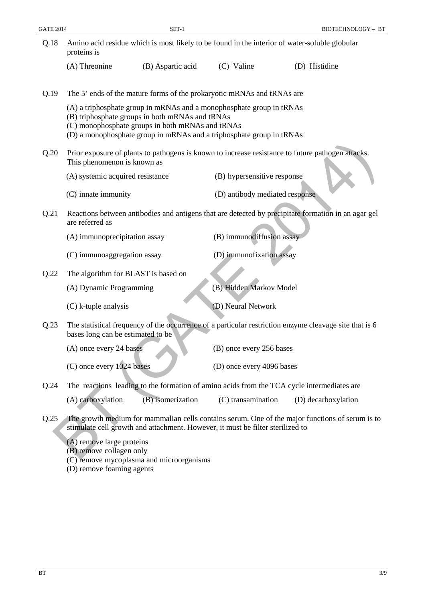| <b>GATE 2014</b> |                                                       | $SET-1$                                                                                                                                                                                                                                             |                                | BIOTECHNOLOGY - BT                                                                                     |
|------------------|-------------------------------------------------------|-----------------------------------------------------------------------------------------------------------------------------------------------------------------------------------------------------------------------------------------------------|--------------------------------|--------------------------------------------------------------------------------------------------------|
| Q.18             | proteins is                                           |                                                                                                                                                                                                                                                     |                                | Amino acid residue which is most likely to be found in the interior of water-soluble globular          |
|                  | (A) Threonine                                         | (B) Aspartic acid                                                                                                                                                                                                                                   | (C) Valine                     | (D) Histidine                                                                                          |
| Q.19             |                                                       | The 5' ends of the mature forms of the prokaryotic mRNAs and tRNAs are                                                                                                                                                                              |                                |                                                                                                        |
|                  |                                                       | (A) a triphosphate group in mRNAs and a monophosphate group in tRNAs<br>(B) triphosphate groups in both mRNAs and tRNAs<br>(C) monophosphate groups in both mRNAs and tRNAs<br>(D) a monophosphate group in mRNAs and a triphosphate group in tRNAs |                                |                                                                                                        |
| Q.20             | This phenomenon is known as                           |                                                                                                                                                                                                                                                     |                                | Prior exposure of plants to pathogens is known to increase resistance to future pathogen attacks.      |
|                  | (A) systemic acquired resistance                      |                                                                                                                                                                                                                                                     | (B) hypersensitive response    |                                                                                                        |
|                  | (C) innate immunity                                   |                                                                                                                                                                                                                                                     | (D) antibody mediated response |                                                                                                        |
| Q.21             | are referred as                                       |                                                                                                                                                                                                                                                     |                                | Reactions between antibodies and antigens that are detected by precipitate formation in an agar gel    |
|                  | (A) immunoprecipitation assay                         |                                                                                                                                                                                                                                                     | (B) immunodiffusion assay      |                                                                                                        |
|                  | (C) immunoaggregation assay                           |                                                                                                                                                                                                                                                     | (D) immunofixation assay       |                                                                                                        |
| Q.22             | The algorithm for BLAST is based on                   |                                                                                                                                                                                                                                                     |                                |                                                                                                        |
|                  | (A) Dynamic Programming                               |                                                                                                                                                                                                                                                     | (B) Hidden Markov Model        |                                                                                                        |
|                  | (C) k-tuple analysis                                  |                                                                                                                                                                                                                                                     | (D) Neural Network             |                                                                                                        |
| Q.23             | bases long can be estimated to be                     |                                                                                                                                                                                                                                                     |                                | The statistical frequency of the occurrence of a particular restriction enzyme cleavage site that is 6 |
|                  | (A) once every 24 bases                               |                                                                                                                                                                                                                                                     | (B) once every 256 bases       |                                                                                                        |
|                  | (C) once every 1024 bases                             |                                                                                                                                                                                                                                                     | (D) once every 4096 bases      |                                                                                                        |
| Q.24             |                                                       |                                                                                                                                                                                                                                                     |                                | The reactions leading to the formation of amino acids from the TCA cycle intermediates are             |
|                  | (A) carboxylation                                     | (B) isomerization                                                                                                                                                                                                                                   | (C) transamination             | (D) decarboxylation                                                                                    |
| Q.25             |                                                       | stimulate cell growth and attachment. However, it must be filter sterilized to                                                                                                                                                                      |                                | The growth medium for mammalian cells contains serum. One of the major functions of serum is to        |
|                  | (A) remove large proteins<br>(B) remove collagen only | myconlogmo and micrographisms                                                                                                                                                                                                                       |                                |                                                                                                        |

- Q.25 The growth medium for mammalian cells contains serum. One of the major functions of serum is to stimulate cell growth and attachment. However, it must be filter sterilized to
	- (A) remove large proteins
	- (B) remove collagen only
	- (C) remove mycoplasma and microorganisms
	- (D) remove foaming agents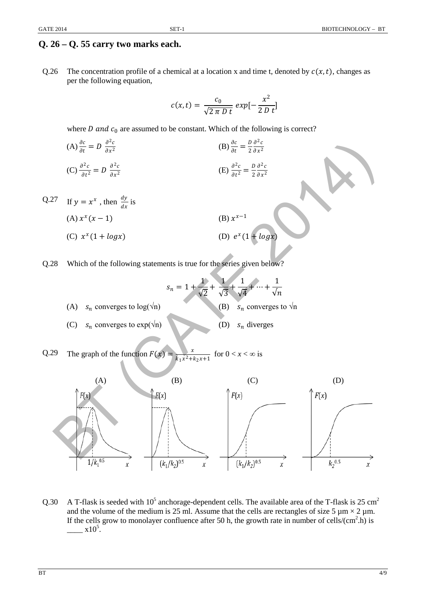## **Q. 26 – Q. 55 carry two marks each.**

Q.26 The concentration profile of a chemical at a location x and time t, denoted by  $c(x, t)$ , changes as per the following equation,

$$
c(x,t) = \frac{c_0}{\sqrt{2 \pi D t}} \exp[-\frac{x^2}{2 D t}]
$$

where *D* and  $c_0$  are assumed to be constant. Which of the following is correct?

(A) 
$$
\frac{\partial c}{\partial t} = D \frac{\partial^2 c}{\partial x^2}
$$
  
\n(B)  $\frac{\partial c}{\partial t} = \frac{D}{2} \frac{\partial^2 c}{\partial x^2}$   
\n(C)  $\frac{\partial^2 c}{\partial t^2} = D \frac{\partial^2 c}{\partial x^2}$   
\n(E)  $\frac{\partial^2 c}{\partial t^2} = \frac{D}{2} \frac{\partial^2 c}{\partial x^2}$ 

Q.27 If 
$$
y = x^x
$$
, then  $\frac{dy}{dx}$  is  
\n(A)  $x^x(x - 1)$   
\n(B)  $x^{x-1}$   
\n(C)  $x^x(1 + logx)$   
\n(D)  $e^x(1 + logx)$ 

Q.28 Which of the following statements is true for the series given below?

$$
s_n = 1 + \frac{1}{\sqrt{2}} + \frac{1}{\sqrt{3}} + \frac{1}{\sqrt{4}} + \dots + \frac{1}{\sqrt{n}}
$$
  
(A)  $s_n$  converges to log( $\sqrt{n}$ )  
(B)  $s_n$  converges to  $\sqrt{n}$   
(C)  $s_n$  converges to exp( $\sqrt{n}$ )  
(D)  $s_n$  diverges

Q.29 The graph of the function  $F(x) = \frac{x}{k_1x^2 + k_2x + 1}$ for  $0 < x < \infty$  is



Q.30 A T-flask is seeded with  $10^5$  anchorage-dependent cells. The available area of the T-flask is 25 cm<sup>2</sup> and the volume of the medium is 25 ml. Assume that the cells are rectangles of size 5  $\mu$ m × 2  $\mu$ m. If the cells grow to monolayer confluence after 50 h, the growth rate in number of cells/ $(cm^2,h)$  is  $\frac{1}{2}$  x10<sup>5</sup>.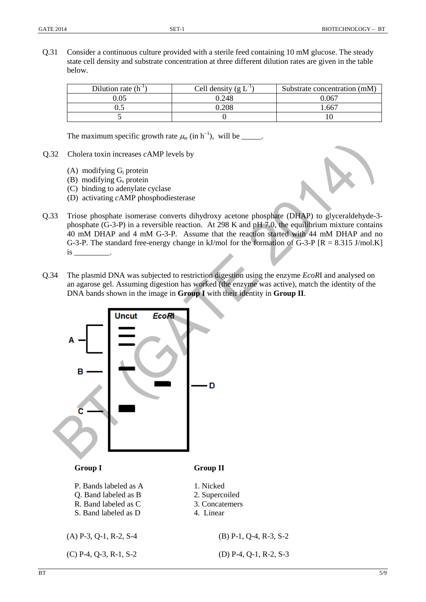Q.31 Consider a continuous culture provided with a sterile feed containing 10 mM glucose. The steady state cell density and substrate concentration at three different dilution rates are given in the table below.

| Dilution rate $(h^{-1})$ | Cell density $(g L-1)$ | Substrate concentration (mM) |
|--------------------------|------------------------|------------------------------|
| ).05                     | 0.248                  | 0.067                        |
|                          | 0.208                  | .667                         |
|                          |                        |                              |

The maximum specific growth rate  $\mu_m$  (in h<sup>-1</sup>), will be \_\_\_\_\_.

- Q.32 Cholera toxin increases *c*AMP levels by
	- (A) modifying  $G_i$  protein
	- (B) modifying  $G_s$  protein
	- (C) binding to adenylate cyclase
	- (D) activating *c*AMP phosphodiesterase
- Q.33 Triose phosphate isomerase converts dihydroxy acetone phosphate (DHAP) to glyceraldehyde-3 phosphate (G-3-P) in a reversible reaction. At 298 K and pH 7.0, the equilibrium mixture contains 40 mM DHAP and 4 mM G-3-P. Assume that the reaction started with 44 mM DHAP and no G-3-P. The standard free-energy change in kJ/mol for the formation of  $\overline{G}$ -3-P  $[R = 8.315 \text{ J/mol.K}]$  $is$  \_\_\_\_\_\_\_\_\_\_\_\_\_.
- Q.34 The plasmid DNA was subjected to restriction digestion using the enzyme *EcoR*I and analysed on an agarose gel. Assuming digestion has worked (the enzyme was active), match the identity of the DNA bands shown in the image in **Group I** with their identity in **Group II**.

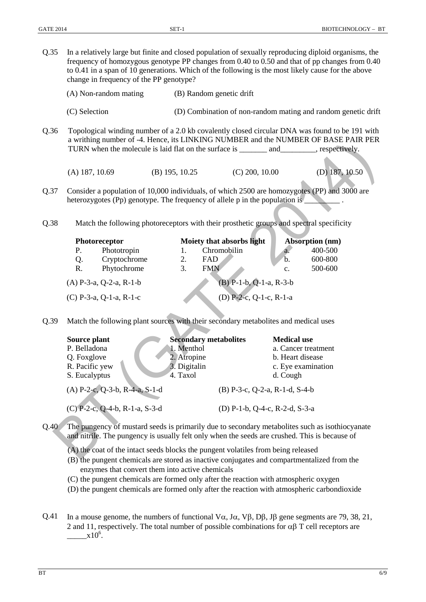Q.35 In a relatively large but finite and closed population of sexually reproducing diploid organisms, the frequency of homozygous genotype PP changes from 0.40 to 0.50 and that of pp changes from 0.40 to 0.41 in a span of 10 generations. Which of the following is the most likely cause for the above change in frequency of the PP genotype? (A) Non-random mating (B) Random genetic drift (C) Selection (D) Combination of non-random mating and random genetic drift Q.36 Topological winding number of a 2.0 kb covalently closed circular DNA was found to be 191 with a writhing number of -4. Hence, its LINKING NUMBER and the NUMBER OF BASE PAIR PER TURN when the molecule is laid flat on the surface is \_\_\_\_\_\_\_\_ and \_\_\_\_\_\_\_\_\_, respectively. (A) 187, 10.69 (B) 195, 10.25 (C) 200, 10.00 (D) 187, 10.50 Q.37 Consider a population of 10,000 individuals, of which 2500 are homozygotes (PP) and 3000 are heterozygotes (Pp) genotype. The frequency of allele p in the population is Q.38 Match the following photoreceptors with their prosthetic groups and spectral specificity **Photoreceptor Moiety that absorbs light Absorption (nm)** P. Phototropin 1. Chromobilin a. 400-500 Q. Cryptochrome 2. FAD b. 600-800<br>
R. Phytochrome 3. FMN c. 500-600 Phytochrome 3. FMN c. 500-600 (A) P-3-a, Q-2-a, R-1-b (B) P-1-b, Q-1-a, R-3-b (C) P-3-a, Q-1-a, R-1-c (D) P-2-c, Q-1-c, R-1-a Q.39 Match the following plant sources with their secondary metabolites and medical uses Source plant Secondary metabolites Medical use P. Belladona 1. Menthol a. Cancer treatment Q. Foxglove 2. Atropine b. Heart disease<br>
R. Pacific yew 3. Digitalin c. Eve examination R. Pacific yew 3. Digitalin c. Eye examination S. Eucalyptus 4. Taxol d. Cough (A) P-2-c, Q-3-b, R-4-a, S-1-d (B) P-3-c, Q-2-a, R-1-d, S-4-b (C) P-2-c, Q-4-b, R-1-a, S-3-d (D) P-1-b, Q-4-c, R-2-d, S-3-a a writing name of  $\alpha$ , its lines, its LNNAG SUOMBER data the NOMBER PART PIRM PERSET PART<br>
(A) 187, 10.69 (B) 195, 10.25 (C) 200, 10.00 (D) 187, 10.80<br>
(A) 187, 10.69 (B) 195, 10.25 (C) 200, 10.00 (D) 187, 10.80<br>
teleroz

Q.40 The pungency of mustard seeds is primarily due to secondary metabolites such as isothiocyanate and nitrile. The pungency is usually felt only when the seeds are crushed. This is because of

- (A) the coat of the intact seeds blocks the pungent volatiles from being released
- (B) the pungent chemicals are stored as inactive conjugates and compartmentalized from the enzymes that convert them into active chemicals
- (C) the pungent chemicals are formed only after the reaction with atmospheric oxygen
- (D) the pungent chemicals are formed only after the reaction with atmospheric carbondioxide
- Q.41 In a mouse genome, the numbers of functional V $\alpha$ , J $\alpha$ , V $\beta$ , D $\beta$ , J $\beta$  gene segments are 79, 38, 21, 2 and 11, respectively. The total number of possible combinations for  $\alpha\beta$  T cell receptors are  $\frac{1}{2}$  x10<sup>6</sup>.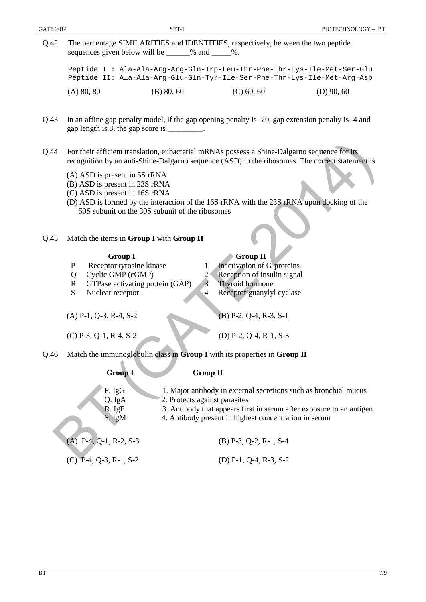Q.42 The percentage SIMILARITIES and IDENTITIES, respectively, between the two peptide sequences given below will be  $\%$  and  $\%$ .

Peptide I : Ala-Ala-Arg-Arg-Gln-Trp-Leu-Thr-Phe-Thr-Lys-Ile-Met-Ser-Glu Peptide II: Ala-Ala-Arg-Glu-Gln-Tyr-Ile-Ser-Phe-Thr-Lys-Ile-Met-Arg-Asp (A) 80, 80 (B) 80, 60 (C) 60, 60 (D) 90, 60

- Q.43 In an affine gap penalty model, if the gap opening penalty is -20, gap extension penalty is -4 and gap length is 8, the gap score is \_\_\_\_\_\_\_\_\_.
- Q.44 For their efficient translation, eubacterial mRNAs possess a Shine-Dalgarno sequence for its recognition by an anti-Shine-Dalgarno sequence (ASD) in the ribosomes. The correct statement is
	- (A) ASD is present in 5S rRNA
	- (B) ASD is present in 23S rRNA
	- (C) ASD is present in 16S rRNA
	- (D) ASD is formed by the interaction of the 16S rRNA with the 23S rRNA upon docking of the 50S subunit on the 30S subunit of the ribosomes

#### Q.45 Match the items in **Group I** with **Group II**

- P Receptor tyrosine kinase 1 Inactivation of G-proteins
- 
- R GTPase activating protein  $(GAP)$  3 Thyroid hormone
- 

| 14            | For their efficient translation, eubacterial mRNAs possess a Shine-Dalgarno sequence for its<br>recognition by an anti-Shine-Dalgarno sequence (ASD) in the ribosomes. The correct statement is         |  |  |  |  |  |
|---------------|---------------------------------------------------------------------------------------------------------------------------------------------------------------------------------------------------------|--|--|--|--|--|
|               | (A) ASD is present in 5S rRNA<br>(B) ASD is present in 23S rRNA<br>(C) ASD is present in 16S rRNA                                                                                                       |  |  |  |  |  |
|               | (D) ASD is formed by the interaction of the 16S rRNA with the 23S rRNA upon docking of the<br>50S subunit on the 30S subunit of the ribosomes                                                           |  |  |  |  |  |
| 15            | Match the items in Group I with Group II                                                                                                                                                                |  |  |  |  |  |
|               | <b>Group I</b><br><b>Group II</b>                                                                                                                                                                       |  |  |  |  |  |
|               | Receptor tyrosine kinase<br>Inactivation of G-proteins<br>P<br>1                                                                                                                                        |  |  |  |  |  |
|               | Reception of insulin signal<br>Cyclic GMP (cGMP)<br>$\overline{2}$<br>Q                                                                                                                                 |  |  |  |  |  |
|               | GTPase activating protein (GAP)<br>$\overline{3}$<br>Thyroid hormone<br>$\mathbf{R}$                                                                                                                    |  |  |  |  |  |
|               | Nuclear receptor<br>Receptor guanylyl cyclase<br>S.<br>$\overline{4}$                                                                                                                                   |  |  |  |  |  |
|               |                                                                                                                                                                                                         |  |  |  |  |  |
|               | $(A)$ P-1, Q-3, R-4, S-2<br>$(B)$ P-2, Q-4, R-3, S-1                                                                                                                                                    |  |  |  |  |  |
|               | $(C)$ P-3, Q-1, R-4, S-2<br>(D) $P-2$ , $Q-4$ , $R-1$ , $S-3$                                                                                                                                           |  |  |  |  |  |
| $\frac{1}{6}$ | Match the immunoglobulin class in Group I with its properties in Group II                                                                                                                               |  |  |  |  |  |
|               |                                                                                                                                                                                                         |  |  |  |  |  |
|               | <b>Group II</b><br><b>Group I</b>                                                                                                                                                                       |  |  |  |  |  |
|               | P. IgG<br>1. Major antibody in external secretions such as bronchial mucus<br>2. Protects against parasites<br>Q. IgA<br>3. Antibody that appears first in serum after exposure to an antigen<br>R. IgE |  |  |  |  |  |
|               | 4. Antibody present in highest concentration in serum<br>S. IgM                                                                                                                                         |  |  |  |  |  |
|               | $(A)$ P-4, Q-1, R-2, S-3<br>$(B)$ P-3, Q-2, R-1, S-4                                                                                                                                                    |  |  |  |  |  |
|               | $(C)$ P-4, Q-3, R-1, S-2<br>(D) P-1, Q-4, R-3, S-2                                                                                                                                                      |  |  |  |  |  |
|               |                                                                                                                                                                                                         |  |  |  |  |  |

# **Group I** Group II

- 
- 
-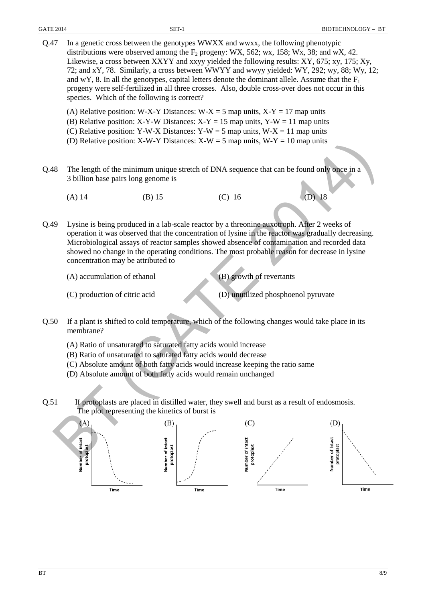| Q.47 | In a genetic cross between the genotypes WWXX and wwxx, the following phenotypic<br>distributions were observed among the $F_2$ progeny: WX, 562; wx, 158; Wx, 38; and wX, 42.<br>Likewise, a cross between XXYY and xxyy yielded the following results: XY, 675; xy, 175; Xy,<br>72; and xY, 78. Similarly, a cross between WWYY and wwyy yielded: WY, 292; wy, 88; Wy, 12;<br>and wY, 8. In all the genotypes, capital letters denote the dominant allele. Assume that the $F_1$<br>progeny were self-fertilized in all three crosses. Also, double cross-over does not occur in this<br>species. Which of the following is correct? |                                               |                                               |                                               |  |  |
|------|----------------------------------------------------------------------------------------------------------------------------------------------------------------------------------------------------------------------------------------------------------------------------------------------------------------------------------------------------------------------------------------------------------------------------------------------------------------------------------------------------------------------------------------------------------------------------------------------------------------------------------------|-----------------------------------------------|-----------------------------------------------|-----------------------------------------------|--|--|
|      | (A) Relative position: W-X-Y Distances: W-X = 5 map units, X-Y = 17 map units<br>(B) Relative position: X-Y-W Distances: $X-Y = 15$ map units, $Y-W = 11$ map units<br>(C) Relative position: Y-W-X Distances: Y-W = 5 map units, W-X = 11 map units<br>(D) Relative position: X-W-Y Distances: $X-W = 5$ map units, $W-Y = 10$ map units                                                                                                                                                                                                                                                                                              |                                               |                                               |                                               |  |  |
| Q.48 | The length of the minimum unique stretch of DNA sequence that can be found only once in a<br>3 billion base pairs long genome is                                                                                                                                                                                                                                                                                                                                                                                                                                                                                                       |                                               |                                               |                                               |  |  |
|      | $(A)$ 14                                                                                                                                                                                                                                                                                                                                                                                                                                                                                                                                                                                                                               | $(B)$ 15                                      | $(C)$ 16                                      | $(D)$ 18                                      |  |  |
| Q.49 | Lysine is being produced in a lab-scale reactor by a threonine auxotroph. After 2 weeks of<br>operation it was observed that the concentration of lysine in the reactor was gradually decreasing.<br>Microbiological assays of reactor samples showed absence of contamination and recorded data<br>showed no change in the operating conditions. The most probable reason for decrease in lysine<br>concentration may be attributed to                                                                                                                                                                                                |                                               |                                               |                                               |  |  |
|      | (A) accumulation of ethanol                                                                                                                                                                                                                                                                                                                                                                                                                                                                                                                                                                                                            |                                               | (B) growth of revertants                      |                                               |  |  |
|      | (C) production of citric acid                                                                                                                                                                                                                                                                                                                                                                                                                                                                                                                                                                                                          |                                               | (D) unutilized phosphoenol pyruvate           |                                               |  |  |
| Q.50 | If a plant is shifted to cold temperature, which of the following changes would take place in its<br>membrane?                                                                                                                                                                                                                                                                                                                                                                                                                                                                                                                         |                                               |                                               |                                               |  |  |
|      | (A) Ratio of unsaturated to saturated fatty acids would increase<br>(B) Ratio of unsaturated to saturated fatty acids would decrease<br>(C) Absolute amount of both fatty acids would increase keeping the ratio same<br>(D) Absolute amount of both fatty acids would remain unchanged                                                                                                                                                                                                                                                                                                                                                |                                               |                                               |                                               |  |  |
| Q.51 | If protoplasts are placed in distilled water, they swell and burst as a result of endosmosis.<br>The plot representing the kinetics of burst is                                                                                                                                                                                                                                                                                                                                                                                                                                                                                        |                                               |                                               |                                               |  |  |
|      | (A)<br>Number of intact<br>protoplast<br>Time                                                                                                                                                                                                                                                                                                                                                                                                                                                                                                                                                                                          | (B)<br>Number of intact<br>protoplast<br>Time | (C)<br>Number of intact<br>protoplast<br>Time | (D)<br>Number of intact<br>protoplast<br>Time |  |  |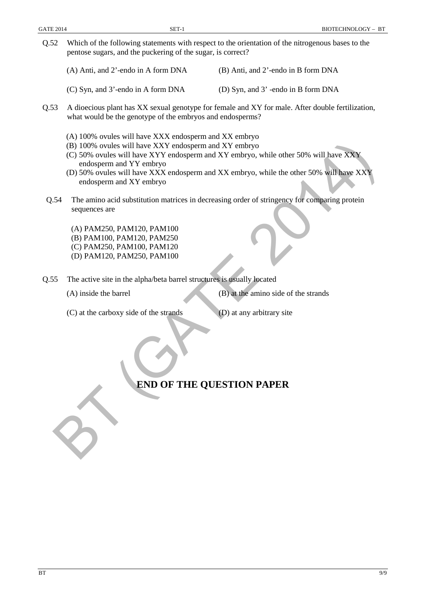- Q.52 Which of the following statements with respect to the orientation of the nitrogenous bases to the pentose sugars, and the puckering of the sugar, is correct?
	- (A) Anti, and 2'-endo in A form DNA (B) Anti, and 2'-endo in B form DNA
	- (C) Syn, and 3'-endo in A form DNA (D) Syn, and 3' -endo in B form DNA
- Q.53 A dioecious plant has XX sexual genotype for female and XY for male. After double fertilization, what would be the genotype of the embryos and endosperms?
	- (A) 100% ovules will have XXX endosperm and XX embryo
	- (B) 100% ovules will have XXY endosperm and XY embryo
	- (C) 50% ovules will have XYY endosperm and XY embryo, while other 50% will have XXY endosperm and YY embryo
	- (D) 50% ovules will have XXX endosperm and XX embryo, while the other 50% will have XXY endosperm and XY embryo
- Q.54 The amino acid substitution matrices in decreasing order of stringency for comparing protein sequences are (B) 100% ovales will have XXY endosperm and XY embryo.<br>
(C) 50% vouls will have XYY endosperm and XY embryo.<br>
(C) 50% vouls will have XXY endosperm and XY embryo.<br>
(D) 37% ovales will have XXX endosperm and XY embryo, whi

(A) PAM250, PAM120, PAM100 (B) PAM100, PAM120, PAM250 (C) PAM250, PAM100, PAM120 (D) PAM120, PAM250, PAM100

Q.55 The active site in the alpha/beta barrel structures is usually located

(C) at the carboxy side of the strands (D) at any arbitrary site

(A) inside the barrel (B) at the amino side of the strands

## **END OF THE QUESTION PAPER**